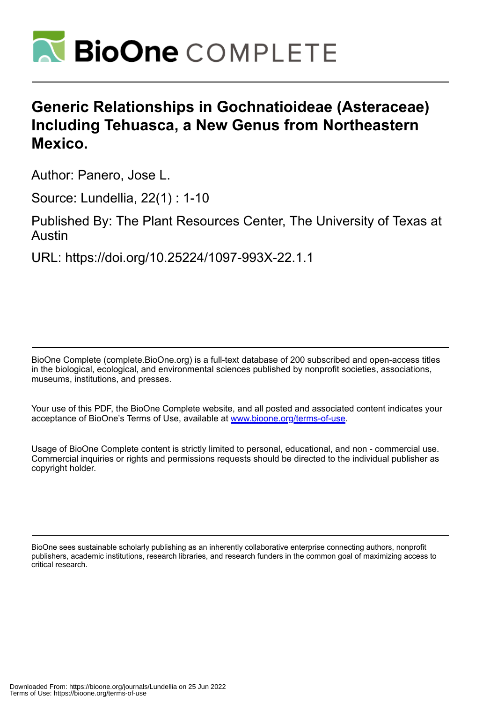

# **Generic Relationships in Gochnatioideae (Asteraceae) Including Tehuasca, a New Genus from Northeastern Mexico.**

Author: Panero, Jose L.

Source: Lundellia, 22(1) : 1-10

Published By: The Plant Resources Center, The University of Texas at Austin

URL: https://doi.org/10.25224/1097-993X-22.1.1

BioOne Complete (complete.BioOne.org) is a full-text database of 200 subscribed and open-access titles in the biological, ecological, and environmental sciences published by nonprofit societies, associations, museums, institutions, and presses.

Your use of this PDF, the BioOne Complete website, and all posted and associated content indicates your acceptance of BioOne's Terms of Use, available at www.bioone.org/terms-of-use.

Usage of BioOne Complete content is strictly limited to personal, educational, and non - commercial use. Commercial inquiries or rights and permissions requests should be directed to the individual publisher as copyright holder.

BioOne sees sustainable scholarly publishing as an inherently collaborative enterprise connecting authors, nonprofit publishers, academic institutions, research libraries, and research funders in the common goal of maximizing access to critical research.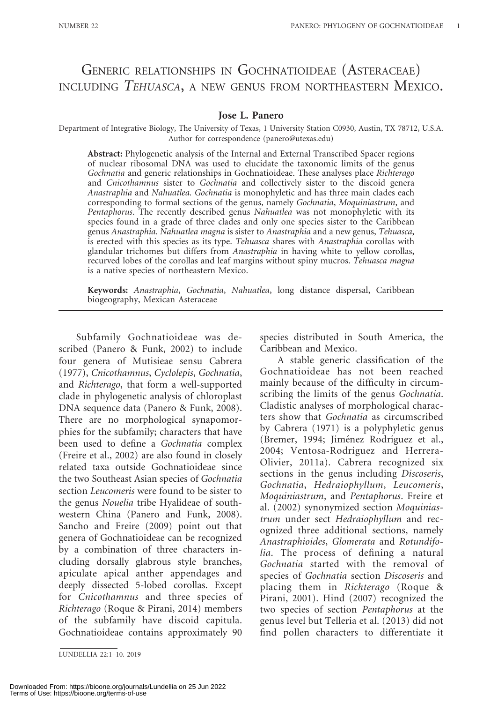## GENERIC RELATIONSHIPS IN GOCHNATIOIDEAE (ASTERACEAE) INCLUDING TEHUASCA, A NEW GENUS FROM NORTHEASTERN MEXICO.

#### Jose L. Panero

Department of Integrative Biology, The University of Texas, 1 University Station C0930, Austin, TX 78712, U.S.A. Author for correspondence (panero@utexas.edu)

Abstract: Phylogenetic analysis of the Internal and External Transcribed Spacer regions of nuclear ribosomal DNA was used to elucidate the taxonomic limits of the genus Gochnatia and generic relationships in Gochnatioideae. These analyses place Richterago and Cnicothamnus sister to Gochnatia and collectively sister to the discoid genera Anastraphia and Nahuatlea. Gochnatia is monophyletic and has three main clades each corresponding to formal sections of the genus, namely Gochnatia, Moquiniastrum, and Pentaphorus. The recently described genus Nahuatlea was not monophyletic with its species found in a grade of three clades and only one species sister to the Caribbean genus Anastraphia. Nahuatlea magna is sister to Anastraphia and a new genus, Tehuasca, is erected with this species as its type. Tehuasca shares with Anastraphia corollas with glandular trichomes but differs from Anastraphia in having white to yellow corollas, recurved lobes of the corollas and leaf margins without spiny mucros. Tehuasca magna is a native species of northeastern Mexico.

Keywords: Anastraphia, Gochnatia, Nahuatlea, long distance dispersal, Caribbean biogeography, Mexican Asteraceae

Subfamily Gochnatioideae was described (Panero & Funk, 2002) to include four genera of Mutisieae sensu Cabrera (1977), Cnicothamnus, Cyclolepis, Gochnatia, and Richterago, that form a well-supported clade in phylogenetic analysis of chloroplast DNA sequence data (Panero & Funk, 2008). There are no morphological synapomorphies for the subfamily; characters that have been used to define a Gochnatia complex (Freire et al., 2002) are also found in closely related taxa outside Gochnatioideae since the two Southeast Asian species of Gochnatia section Leucomeris were found to be sister to the genus Nouelia tribe Hyalideae of southwestern China (Panero and Funk, 2008). Sancho and Freire (2009) point out that genera of Gochnatioideae can be recognized by a combination of three characters including dorsally glabrous style branches, apiculate apical anther appendages and deeply dissected 5-lobed corollas. Except for Cnicothamnus and three species of Richterago (Roque & Pirani, 2014) members of the subfamily have discoid capitula. Gochnatioideae contains approximately 90

species distributed in South America, the Caribbean and Mexico.

A stable generic classification of the Gochnatioideae has not been reached mainly because of the difficulty in circumscribing the limits of the genus Gochnatia. Cladistic analyses of morphological characters show that Gochnatia as circumscribed by Cabrera (1971) is a polyphyletic genus (Bremer, 1994; Jiménez Rodríguez et al., 2004; Ventosa-Rodriguez and Herrera-Olivier, 2011a). Cabrera recognized six sections in the genus including Discoseris, Gochnatia, Hedraiophyllum, Leucomeris, Moquiniastrum, and Pentaphorus. Freire et al. (2002) synonymized section Moquiniastrum under sect Hedraiophyllum and recognized three additional sections, namely Anastraphioides, Glomerata and Rotundifolia. The process of defining a natural Gochnatia started with the removal of species of Gochnatia section Discoseris and placing them in Richterago (Roque & Pirani, 2001). Hind (2007) recognized the two species of section Pentaphorus at the genus level but Telleria et al. (2013) did not find pollen characters to differentiate it

LUNDELLIA 22:1–10. 2019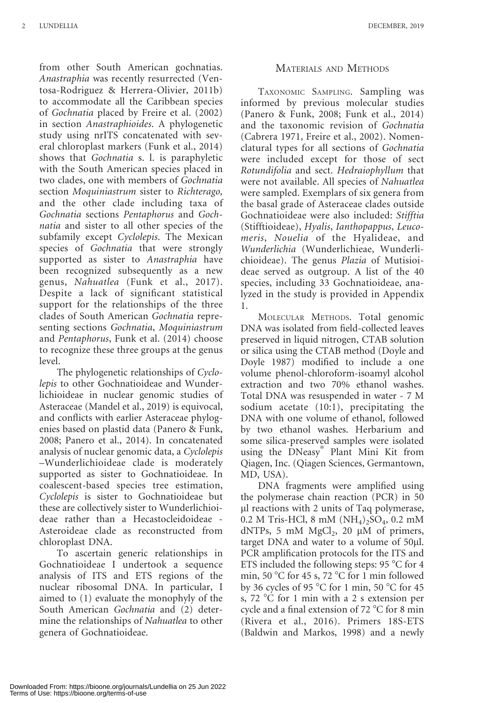from other South American gochnatias. Anastraphia was recently resurrected (Ventosa-Rodriguez & Herrera-Olivier, 2011b) to accommodate all the Caribbean species of Gochnatia placed by Freire et al. (2002) in section Anastraphioides. A phylogenetic study using nrITS concatenated with several chloroplast markers (Funk et al., 2014) shows that Gochnatia s. l. is paraphyletic with the South American species placed in two clades, one with members of Gochnatia section Moquiniastrum sister to Richterago, and the other clade including taxa of Gochnatia sections Pentaphorus and Gochnatia and sister to all other species of the subfamily except Cyclolepis. The Mexican species of Gochnatia that were strongly supported as sister to Anastraphia have been recognized subsequently as a new genus, Nahuatlea (Funk et al., 2017). Despite a lack of significant statistical support for the relationships of the three clades of South American Gochnatia representing sections Gochnatia, Moquiniastrum and Pentaphorus, Funk et al. (2014) choose to recognize these three groups at the genus level.

The phylogenetic relationships of Cyclolepis to other Gochnatioideae and Wunderlichioideae in nuclear genomic studies of Asteraceae (Mandel et al., 2019) is equivocal, and conflicts with earlier Asteraceae phylogenies based on plastid data (Panero & Funk, 2008; Panero et al., 2014). In concatenated analysis of nuclear genomic data, a Cyclolepis –Wunderlichioideae clade is moderately supported as sister to Gochnatioideae. In coalescent-based species tree estimation, Cyclolepis is sister to Gochnatioideae but these are collectively sister to Wunderlichioideae rather than a Hecastocleidoideae - Asteroideae clade as reconstructed from chloroplast DNA.

To ascertain generic relationships in Gochnatioideae I undertook a sequence analysis of ITS and ETS regions of the nuclear ribosomal DNA. In particular, I aimed to (1) evaluate the monophyly of the South American Gochnatia and (2) determine the relationships of Nahuatlea to other genera of Gochnatioideae.

## MATERIALS AND METHODS

TAXONOMIC SAMPLING. Sampling was informed by previous molecular studies (Panero & Funk, 2008; Funk et al., 2014) and the taxonomic revision of Gochnatia (Cabrera 1971, Freire et al., 2002). Nomenclatural types for all sections of Gochnatia were included except for those of sect Rotundifolia and sect. Hedraiophyllum that were not available. All species of Nahuatlea were sampled. Exemplars of six genera from the basal grade of Asteraceae clades outside Gochnatioideae were also included: Stifftia (Stifftioideae), Hyalis, Ianthopappus, Leucomeris, Nouelia of the Hyalideae, and Wunderlichia (Wunderlichieae, Wunderlichioideae). The genus Plazia of Mutisioideae served as outgroup. A list of the 40 species, including 33 Gochnatioideae, analyzed in the study is provided in Appendix 1.

MOLECULAR METHODS. Total genomic DNA was isolated from field-collected leaves preserved in liquid nitrogen, CTAB solution or silica using the CTAB method (Doyle and Doyle 1987) modified to include a one volume phenol-chloroform-isoamyl alcohol extraction and two 70% ethanol washes. Total DNA was resuspended in water - 7 M sodium acetate (10:1), precipitating the DNA with one volume of ethanol, followed by two ethanol washes. Herbarium and some silica-preserved samples were isolated using the DNeasy<sup>®</sup> Plant Mini Kit from Qiagen, Inc. (Qiagen Sciences, Germantown, MD, USA).

DNA fragments were amplified using the polymerase chain reaction (PCR) in 50 ll reactions with 2 units of Taq polymerase, 0.2 M Tris-HCl, 8 mM  $(NH_4)_2SO_4$ , 0.2 mM dNTPs, 5 mM  $MgCl<sub>2</sub>$ , 20 µM of primers, target DNA and water to a volume of 50µl. PCR amplification protocols for the ITS and ETS included the following steps:  $95^{\circ}$ C for 4 min, 50 °C for 45 s, 72 °C for 1 min followed by 36 cycles of 95  $\degree$ C for 1 min, 50  $\degree$ C for 45 s, 72  $\degree$ C for 1 min with a 2 s extension per cycle and a final extension of 72  $\degree$ C for 8 min (Rivera et al., 2016). Primers 18S-ETS (Baldwin and Markos, 1998) and a newly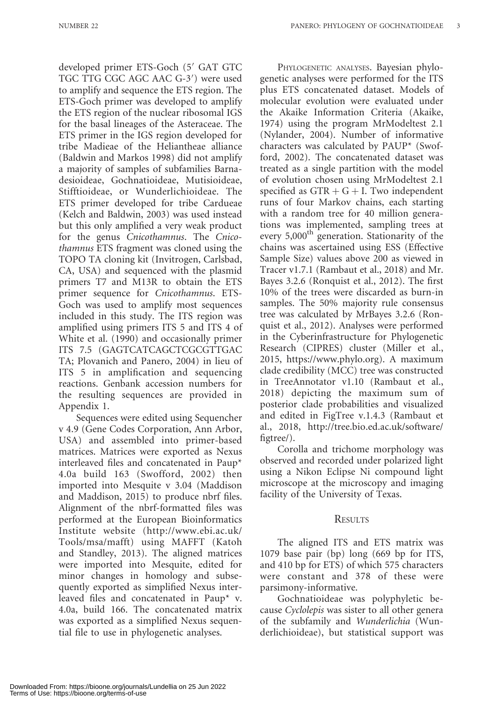developed primer ETS-Goch (5' GAT GTC TGC TTG CGC AGC AAC G-3') were used to amplify and sequence the ETS region. The ETS-Goch primer was developed to amplify the ETS region of the nuclear ribosomal IGS for the basal lineages of the Asteraceae. The ETS primer in the IGS region developed for tribe Madieae of the Heliantheae alliance (Baldwin and Markos 1998) did not amplify a majority of samples of subfamilies Barnadesioideae, Gochnatioideae, Mutisioideae, Stifftioideae, or Wunderlichioideae. The ETS primer developed for tribe Cardueae (Kelch and Baldwin, 2003) was used instead but this only amplified a very weak product for the genus Cnicothamnus. The Cnicothamnus ETS fragment was cloned using the TOPO TA cloning kit (Invitrogen, Carlsbad, CA, USA) and sequenced with the plasmid primers T7 and M13R to obtain the ETS primer sequence for Cnicothamnus. ETS-Goch was used to amplify most sequences included in this study. The ITS region was amplified using primers ITS 5 and ITS 4 of White et al. (1990) and occasionally primer ITS 7.5 (GAGTCATCAGCTCGCGTTGAC TA; Plovanich and Panero, 2004) in lieu of ITS 5 in amplification and sequencing reactions. Genbank accession numbers for the resulting sequences are provided in Appendix 1.

Sequences were edited using Sequencher v 4.9 (Gene Codes Corporation, Ann Arbor, USA) and assembled into primer-based matrices. Matrices were exported as Nexus interleaved files and concatenated in Paup\* 4.0a build 163 (Swofford, 2002) then imported into Mesquite v 3.04 (Maddison and Maddison, 2015) to produce nbrf files. Alignment of the nbrf-formatted files was performed at the European Bioinformatics Institute website (http://www.ebi.ac.uk/ Tools/msa/mafft) using MAFFT (Katoh and Standley, 2013). The aligned matrices were imported into Mesquite, edited for minor changes in homology and subsequently exported as simplified Nexus interleaved files and concatenated in Paup\* v. 4.0a, build 166. The concatenated matrix was exported as a simplified Nexus sequential file to use in phylogenetic analyses.

PHYLOGENETIC ANALYSES. Bayesian phylogenetic analyses were performed for the ITS plus ETS concatenated dataset. Models of molecular evolution were evaluated under the Akaike Information Criteria (Akaike, 1974) using the program MrModeltest 2.1 (Nylander, 2004). Number of informative characters was calculated by PAUP\* (Swofford, 2002). The concatenated dataset was treated as a single partition with the model of evolution chosen using MrModeltest 2.1 specified as  $GTR + G + I$ . Two independent runs of four Markov chains, each starting with a random tree for 40 million generations was implemented, sampling trees at every 5,000<sup>th</sup> generation. Stationarity of the chains was ascertained using ESS (Effective Sample Size) values above 200 as viewed in Tracer v1.7.1 (Rambaut et al., 2018) and Mr. Bayes 3.2.6 (Ronquist et al., 2012). The first 10% of the trees were discarded as burn-in samples. The 50% majority rule consensus tree was calculated by MrBayes 3.2.6 (Ronquist et al., 2012). Analyses were performed in the Cyberinfrastructure for Phylogenetic Research (CIPRES) cluster (Miller et al., 2015, https://www.phylo.org). A maximum clade credibility (MCC) tree was constructed in TreeAnnotator v1.10 (Rambaut et al., 2018) depicting the maximum sum of posterior clade probabilities and visualized and edited in FigTree v.1.4.3 (Rambaut et al., 2018, http://tree.bio.ed.ac.uk/software/ figtree/).

Corolla and trichome morphology was observed and recorded under polarized light using a Nikon Eclipse Ni compound light microscope at the microscopy and imaging facility of the University of Texas.

### **RESULTS**

The aligned ITS and ETS matrix was 1079 base pair (bp) long (669 bp for ITS, and 410 bp for ETS) of which 575 characters were constant and 378 of these were parsimony-informative.

Gochnatioideae was polyphyletic because Cyclolepis was sister to all other genera of the subfamily and Wunderlichia (Wunderlichioideae), but statistical support was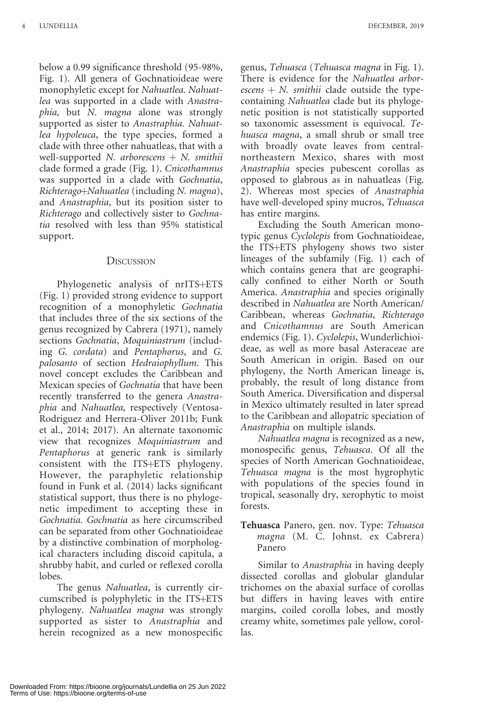below a 0.99 significance threshold (95-98%, Fig. 1). All genera of Gochnatioideae were monophyletic except for Nahuatlea. Nahuatlea was supported in a clade with Anastraphia, but N. magna alone was strongly supported as sister to Anastraphia. Nahuatlea hypoleuca, the type species, formed a clade with three other nahuatleas, that with a well-supported  $N.$  arborescens  $+ N.$  smithii clade formed a grade (Fig. 1). Cnicothamnus was supported in a clade with Gochnatia,  $Richterago+Nahuatlea$  (including N. magna), and Anastraphia, but its position sister to Richterago and collectively sister to Gochnatia resolved with less than 95% statistical support.

### **DISCUSSION**

Phylogenetic analysis of nrITS+ETS (Fig. 1) provided strong evidence to support recognition of a monophyletic Gochnatia that includes three of the six sections of the genus recognized by Cabrera (1971), namely sections Gochnatia, Moquiniastrum (including G. cordata) and Pentaphorus, and G. palosanto of section Hedraiophyllum. This novel concept excludes the Caribbean and Mexican species of Gochnatia that have been recently transferred to the genera Anastraphia and Nahuatlea, respectively (Ventosa-Rodriguez and Herrera-Oliver 2011b; Funk et al., 2014; 2017). An alternate taxonomic view that recognizes Moquiniastrum and Pentaphorus at generic rank is similarly consistent with the ITS+ETS phylogeny. However, the paraphyletic relationship found in Funk et al. (2014) lacks significant statistical support, thus there is no phylogenetic impediment to accepting these in Gochnatia. Gochnatia as here circumscribed can be separated from other Gochnatioideae by a distinctive combination of morphological characters including discoid capitula, a shrubby habit, and curled or reflexed corolla lobes.

The genus Nahuatlea, is currently circumscribed is polyphyletic in the ITS+ETS phylogeny. Nahuatlea magna was strongly supported as sister to Anastraphia and herein recognized as a new monospecific genus, Tehuasca (Tehuasca magna in Fig. 1). There is evidence for the Nahuatlea arborescens  $+ N$ . smithii clade outside the typecontaining Nahuatlea clade but its phylogenetic position is not statistically supported so taxonomic assessment is equivocal. Tehuasca magna, a small shrub or small tree with broadly ovate leaves from centralnortheastern Mexico, shares with most Anastraphia species pubescent corollas as opposed to glabrous as in nahuatleas (Fig. 2). Whereas most species of Anastraphia have well-developed spiny mucros, Tehuasca has entire margins.

Excluding the South American monotypic genus Cyclolepis from Gochnatioideae, the ITS+ETS phylogeny shows two sister lineages of the subfamily (Fig. 1) each of which contains genera that are geographically confined to either North or South America. Anastraphia and species originally described in Nahuatlea are North American/ Caribbean, whereas Gochnatia, Richterago and Cnicothamnus are South American endemics (Fig. 1). Cyclolepis, Wunderlichioideae, as well as more basal Asteraceae are South American in origin. Based on our phylogeny, the North American lineage is, probably, the result of long distance from South America. Diversification and dispersal in Mexico ultimately resulted in later spread to the Caribbean and allopatric speciation of Anastraphia on multiple islands.

Nahuatlea magna is recognized as a new, monospecific genus, Tehuasca. Of all the species of North American Gochnatioideae, Tehuasca magna is the most hygrophytic with populations of the species found in tropical, seasonally dry, xerophytic to moist forests.

Tehuasca Panero, gen. nov. Type: Tehuasca magna (M. C. Johnst. ex Cabrera) Panero

Similar to Anastraphia in having deeply dissected corollas and globular glandular trichomes on the abaxial surface of corollas but differs in having leaves with entire margins, coiled corolla lobes, and mostly creamy white, sometimes pale yellow, corollas.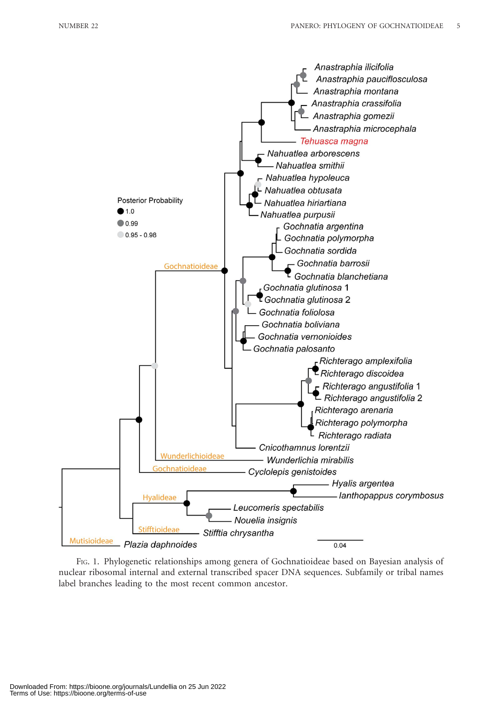

FIG. 1. Phylogenetic relationships among genera of Gochnatioideae based on Bayesian analysis of nuclear ribosomal internal and external transcribed spacer DNA sequences. Subfamily or tribal names label branches leading to the most recent common ancestor.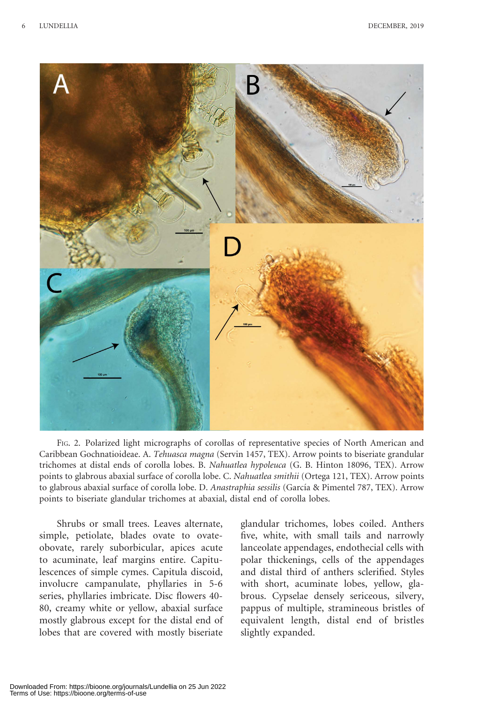

FIG. 2. Polarized light micrographs of corollas of representative species of North American and Caribbean Gochnatioideae. A. Tehuasca magna (Servin 1457, TEX). Arrow points to biseriate grandular trichomes at distal ends of corolla lobes. B. Nahuatlea hypoleuca (G. B. Hinton 18096, TEX). Arrow points to glabrous abaxial surface of corolla lobe. C. Nahuatlea smithii (Ortega 121, TEX). Arrow points to glabrous abaxial surface of corolla lobe. D. Anastraphia sessilis (García & Pimentel 787, TEX). Arrow points to biseriate glandular trichomes at abaxial, distal end of corolla lobes.

Shrubs or small trees. Leaves alternate, simple, petiolate, blades ovate to ovateobovate, rarely suborbicular, apices acute to acuminate, leaf margins entire. Capitulescences of simple cymes. Capitula discoid, involucre campanulate, phyllaries in 5-6 series, phyllaries imbricate. Disc flowers 40- 80, creamy white or yellow, abaxial surface mostly glabrous except for the distal end of lobes that are covered with mostly biseriate

glandular trichomes, lobes coiled. Anthers five, white, with small tails and narrowly lanceolate appendages, endothecial cells with polar thickenings, cells of the appendages and distal third of anthers sclerified. Styles with short, acuminate lobes, yellow, glabrous. Cypselae densely sericeous, silvery, pappus of multiple, stramineous bristles of equivalent length, distal end of bristles slightly expanded.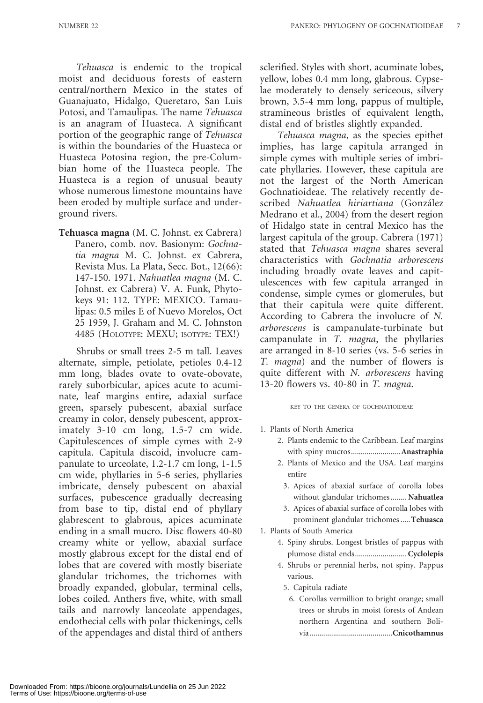Tehuasca is endemic to the tropical moist and deciduous forests of eastern central/northern Mexico in the states of Guanajuato, Hidalgo, Queretaro, San Luis Potosi, and Tamaulipas. The name Tehuasca is an anagram of Huasteca. A significant portion of the geographic range of Tehuasca is within the boundaries of the Huasteca or Huasteca Potosina region, the pre-Columbian home of the Huasteca people. The Huasteca is a region of unusual beauty whose numerous limestone mountains have been eroded by multiple surface and underground rivers.

Tehuasca magna (M. C. Johnst. ex Cabrera) Panero, comb. nov. Basionym: Gochnatia magna M. C. Johnst. ex Cabrera, Revista Mus. La Plata, Secc. Bot., 12(66): 147-150. 1971. Nahuatlea magna (M. C. Johnst. ex Cabrera) V. A. Funk, Phytokeys 91: 112. TYPE: MEXICO. Tamaulipas: 0.5 miles E of Nuevo Morelos, Oct 25 1959, J. Graham and M. C. Johnston 4485 (HOLOTYPE: MEXU; ISOTYPE: TEX!)

Shrubs or small trees 2-5 m tall. Leaves alternate, simple, petiolate, petioles 0.4-12 mm long, blades ovate to ovate-obovate, rarely suborbicular, apices acute to acuminate, leaf margins entire, adaxial surface green, sparsely pubescent, abaxial surface creamy in color, densely pubescent, approximately 3-10 cm long, 1.5-7 cm wide. Capitulescences of simple cymes with 2-9 capitula. Capitula discoid, involucre campanulate to urceolate, 1.2-1.7 cm long, 1-1.5 cm wide, phyllaries in 5-6 series, phyllaries imbricate, densely pubescent on abaxial surfaces, pubescence gradually decreasing from base to tip, distal end of phyllary glabrescent to glabrous, apices acuminate ending in a small mucro. Disc flowers 40-80 creamy white or yellow, abaxial surface mostly glabrous except for the distal end of lobes that are covered with mostly biseriate glandular trichomes, the trichomes with broadly expanded, globular, terminal cells, lobes coiled. Anthers five, white, with small tails and narrowly lanceolate appendages, endothecial cells with polar thickenings, cells of the appendages and distal third of anthers

sclerified. Styles with short, acuminate lobes, yellow, lobes 0.4 mm long, glabrous. Cypselae moderately to densely sericeous, silvery brown, 3.5-4 mm long, pappus of multiple, stramineous bristles of equivalent length, distal end of bristles slightly expanded.

Tehuasca magna, as the species epithet implies, has large capitula arranged in simple cymes with multiple series of imbricate phyllaries. However, these capitula are not the largest of the North American Gochnatioideae. The relatively recently described Nahuatlea hiriartiana (González Medrano et al., 2004) from the desert region of Hidalgo state in central Mexico has the largest capitula of the group. Cabrera (1971) stated that Tehuasca magna shares several characteristics with Gochnatia arborescens including broadly ovate leaves and capitulescences with few capitula arranged in condense, simple cymes or glomerules, but that their capitula were quite different. According to Cabrera the involucre of N. arborescens is campanulate-turbinate but campanulate in T. magna, the phyllaries are arranged in 8-10 series (vs. 5-6 series in T. magna) and the number of flowers is quite different with N. arborescens having 13-20 flowers vs. 40-80 in T. magna.

KEY TO THE GENERA OF GOCHNATIOIDEAE

- 1. Plants of North America
	- 2. Plants endemic to the Caribbean. Leaf margins with spiny mucros.........................Anastraphia
	- 2. Plants of Mexico and the USA. Leaf margins entire
		- 3. Apices of abaxial surface of corolla lobes without glandular trichomes........ Nahuatlea
		- 3. Apices of abaxial surface of corolla lobes with prominent glandular trichomes .....Tehuasca
- 1. Plants of South America
	- 4. Spiny shrubs. Longest bristles of pappus with plumose distal ends........................... Cyclolepis
	- 4. Shrubs or perennial herbs, not spiny. Pappus various.
		- 5. Capitula radiate
		- 6. Corollas vermillion to bright orange; small trees or shrubs in moist forests of Andean northern Argentina and southern Bolivia..........................................Cnicothamnus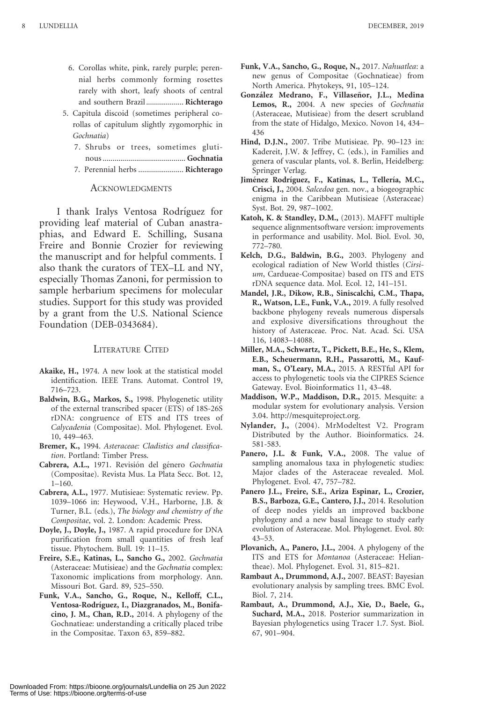- 6. Corollas white, pink, rarely purple; perennial herbs commonly forming rosettes rarely with short, leafy shoots of central and southern Brazil................... Richterago
- 5. Capitula discoid (sometimes peripheral corollas of capitulum slightly zygomorphic in Gochnatia)
	- 7. Shrubs or trees, sometimes glutinous .......................................... Gochnatia
	- 7. Perennial herbs ....................... Richterago

#### **ACKNOWLEDGMENTS**

I thank Iralys Ventosa Rodríguez for providing leaf material of Cuban anastraphias, and Edward E. Schilling, Susana Freire and Bonnie Crozier for reviewing the manuscript and for helpful comments. I also thank the curators of TEX–LL and NY, especially Thomas Zanoni, for permission to sample herbarium specimens for molecular studies. Support for this study was provided by a grant from the U.S. National Science Foundation (DEB-0343684).

#### LITERATURE CITED

- Akaike, H., 1974. A new look at the statistical model identification. IEEE Trans. Automat. Control 19, 716–723.
- Baldwin, B.G., Markos, S., 1998. Phylogenetic utility of the external transcribed spacer (ETS) of 18S-26S rDNA: congruence of ETS and ITS trees of Calycadenia (Compositae). Mol. Phylogenet. Evol. 10, 449–463.
- Bremer, K., 1994. Asteraceae: Cladistics and classification. Portland: Timber Press.
- Cabrera, A.L., 1971. Revisión del género Gochnatia (Compositae). Revista Mus. La Plata Secc. Bot. 12, 1–160.
- Cabrera, A.L., 1977. Mutisieae: Systematic review. Pp. 1039–1066 in: Heywood, V.H., Harborne, J.B. & Turner, B.L. (eds.), The biology and chemistry of the Compositae, vol. 2. London: Academic Press.
- Doyle, J., Doyle, J., 1987. A rapid procedure for DNA purification from small quantities of fresh leaf tissue. Phytochem. Bull. 19: 11–15.
- Freire, S.E., Katinas, L., Sancho G., 2002. Gochnatia (Asteraceae: Mutisieae) and the Gochnatia complex: Taxonomic implications from morphology. Ann. Missouri Bot. Gard. 89, 525–550.
- Funk, V.A., Sancho, G., Roque, N., Kelloff, C.L., Ventosa-Rodríguez, I., Diazgranados, M., Bonifacino, J. M., Chan, R.D., 2014. A phylogeny of the Gochnatieae: understanding a critically placed tribe in the Compositae. Taxon 63, 859–882.
- Funk, V.A., Sancho, G., Roque, N., 2017. Nahuatlea: a new genus of Compositae (Gochnatieae) from North America. Phytokeys, 91, 105–124.
- González Medrano, F., Villaseñor, J.L., Medina Lemos, R., 2004. A new species of Gochnatia (Asteraceae, Mutisieae) from the desert scrubland from the state of Hidalgo, Mexico. Novon 14, 434– 436
- Hind, D.J.N., 2007. Tribe Mutisieae. Pp. 90–123 in: Kadereit, J.W. & Jeffrey, C. (eds.), in Families and genera of vascular plants, vol. 8. Berlin, Heidelberg: Springer Verlag.
- Jiménez Rodríguez, F., Katinas, L., Tellería, M.C., Crisci, J., 2004. Salcedoa gen. nov., a biogeographic enigma in the Caribbean Mutisieae (Asteraceae) Syst. Bot. 29, 987–1002.
- Katoh, K. & Standley, D.M., (2013). MAFFT multiple sequence alignmentsoftware version: improvements in performance and usability. Mol. Biol. Evol. 30, 772–780.
- Kelch, D.G., Baldwin, B.G., 2003. Phylogeny and ecological radiation of New World thistles (Cirsium, Cardueae-Compositae) based on ITS and ETS rDNA sequence data. Mol. Ecol. 12, 141–151.
- Mandel, J.R., Dikow, R.B., Siniscalchi, C.M., Thapa, R., Watson, L.E., Funk, V.A., 2019. A fully resolved backbone phylogeny reveals numerous dispersals and explosive diversifications throughout the history of Asteraceae. Proc. Nat. Acad. Sci. USA 116, 14083–14088.
- Miller, M.A., Schwartz, T., Pickett, B.E., He, S., Klem, E.B., Scheuermann, R.H., Passarotti, M., Kaufman, S., O'Leary, M.A., 2015. A RESTful API for access to phylogenetic tools via the CIPRES Science Gateway. Evol. Bioinformatics 11, 43–48.
- Maddison, W.P., Maddison, D.R., 2015. Mesquite: a modular system for evolutionary analysis. Version 3.04. http://mesquiteproject.org.
- Nylander, J., (2004). MrModeltest V2. Program Distributed by the Author. Bioinformatics. 24. 581-583.
- Panero, J.L. & Funk, V.A., 2008. The value of sampling anomalous taxa in phylogenetic studies: Major clades of the Asteraceae revealed. Mol. Phylogenet. Evol. 47, 757–782.
- Panero J.L., Freire, S.E., Ariza Espinar, L., Crozier, B.S., Barboza, G.E., Cantero, J.J., 2014. Resolution of deep nodes yields an improved backbone phylogeny and a new basal lineage to study early evolution of Asteraceae. Mol. Phylogenet. Evol. 80: 43–53.
- Plovanich, A., Panero, J.L., 2004. A phylogeny of the ITS and ETS for Montanoa (Asteraceae: Heliantheae). Mol. Phylogenet. Evol. 31, 815–821.
- Rambaut A., Drummond, A.J., 2007. BEAST: Bayesian evolutionary analysis by sampling trees. BMC Evol. Biol. 7, 214.
- Rambaut, A., Drummond, A.J., Xie, D., Baele, G., Suchard, M.A., 2018. Posterior summarization in Bayesian phylogenetics using Tracer 1.7. Syst. Biol. 67, 901–904.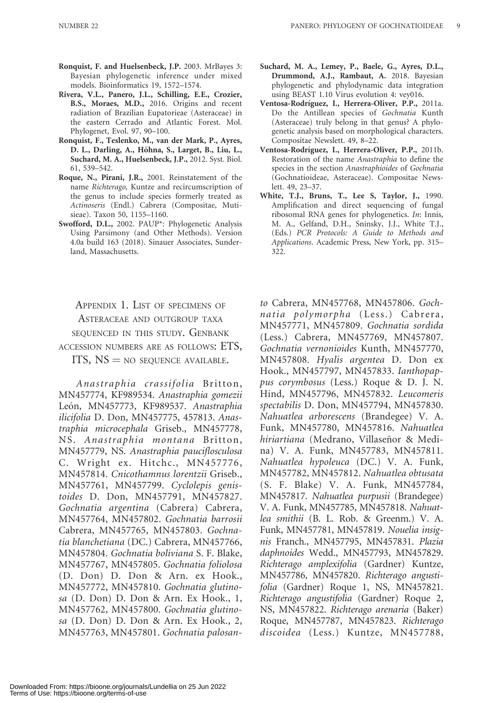- Ronquist, F. and Huelsenbeck, J.P. 2003. MrBayes 3: Bayesian phylogenetic inference under mixed models. Bioinformatics 19, 1572–1574.
- Rivera, V.L., Panero, J.L., Schilling, E.E., Crozier, B.S., Moraes, M.D., 2016. Origins and recent radiation of Brazilian Eupatorieae (Asteraceae) in the eastern Cerrado and Atlantic Forest. Mol. Phylogenet, Evol. 97, 90–100.
- Ronquist, F., Teslenko, M., van der Mark, P., Ayres, D. L., Darling, A., Höhna, S., Larget, B., Liu, L., Suchard, M. A., Huelsenbeck, J.P., 2012. Syst. Biol. 61, 539–542.
- Roque, N., Pirani, J.R., 2001. Reinstatement of the name Richterago, Kuntze and recircumscription of the genus to include species formerly treated as Actinoseris (Endl.) Cabrera (Compositae, Mutisieae). Taxon 50, 1155–1160.
- Swofford, D.L., 2002. PAUP\*: Phylogenetic Analysis Using Parsimony (and Other Methods). Version 4.0a build 163 (2018). Sinauer Associates, Sunderland, Massachusetts.

APPENDIX 1. LIST OF SPECIMENS OF ASTERACEAE AND OUTGROUP TAXA SEQUENCED IN THIS STUDY. GENBANK ACCESSION NUMBERS ARE AS FOLLOWS: ETS, ITS,  $NS = NO$  sequence available.

Anastraphia crassifolia Britton, MN457774, KF989534. Anastraphia gomezii León, MN457773, KF989537. Anastraphia ilicifolia D. Don, MN457775, 457813. Anastraphia microcephala Griseb., MN457778, NS. Anastraphia montana Britton, MN457779, NS. Anastraphia pauciflosculosa C. Wright ex. Hitchc., MN457776, MN457814. Cnicothamnus lorentzii Griseb., MN457761, MN457799. Cyclolepis genistoides D. Don, MN457791, MN457827. Gochnatia argentina (Cabrera) Cabrera, MN457764, MN457802. Gochnatia barrosii Cabrera, MN457765, MN457803. Gochnatia blanchetiana (DC.) Cabrera, MN457766, MN457804. Gochnatia boliviana S. F. Blake, MN457767, MN457805. Gochnatia foliolosa (D. Don) D. Don & Arn. ex Hook., MN457772, MN457810. Gochnatia glutinosa (D. Don) D. Don & Arn. Ex Hook., 1, MN457762, MN457800. Gochnatia glutinosa (D. Don) D. Don & Arn. Ex Hook., 2, MN457763, MN457801. Gochnatia palosan-

- Suchard, M. A., Lemey, P., Baele, G., Ayres, D.L., Drummond, A.J., Rambaut, A. 2018. Bayesian phylogenetic and phylodynamic data integration using BEAST 1.10 Virus evolution 4: vey016.
- Ventosa-Rodríguez, I., Herrera-Oliver, P.P., 2011a. Do the Antillean species of Gochnatia Kunth (Asteraceae) truly belong in that genus? A phylogenetic analysis based on morphological characters. Compositae Newslett. 49, 8–22.
- Ventosa-Rodríguez, I., Herrera-Oliver, P.P., 2011b. Restoration of the name Anastraphia to define the species in the section Anastraphioides of Gochnatia (Gochnatioideae, Asteraceae). Compositae Newslett. 49, 23–37.
- White, T.J., Bruns, T., Lee S, Taylor, J., 1990. Amplification and direct sequencing of fungal ribosomal RNA genes for phylogenetics. In: Innis, M. A., Gelfand, D.H., Sninsky, J.J., White T.J., (Eds.) PCR Protocols: A Guide to Methods and Applications. Academic Press, New York, pp. 315– 322.

to Cabrera, MN457768, MN457806. Gochnatia polymorpha (Less.) Cabrera, MN457771, MN457809. Gochnatia sordida (Less.) Cabrera, MN457769, MN457807. Gochnatia vernonioides Kunth, MN457770, MN457808. Hyalis argentea D. Don ex Hook., MN457797, MN457833. Ianthopappus corymbosus (Less.) Roque & D. J. N. Hind, MN457796, MN457832. Leucomeris spectabilis D. Don, MN457794, MN457830. Nahuatlea arborescens (Brandegee) V. A. Funk, MN457780, MN457816. Nahuatlea hiriartiana (Medrano, Villaseñor & Medina) V. A. Funk, MN457783, MN457811. Nahuatlea hypoleuca (DC.) V. A. Funk, MN457782, MN457812. Nahuatlea obtusata (S. F. Blake) V. A. Funk, MN457784, MN457817. Nahuatlea purpusii (Brandegee) V. A. Funk, MN457785, MN457818. Nahuatlea smithii (B. L. Rob. & Greenm.) V. A. Funk, MN457781, MN457819. Nouelia insignis Franch., MN457795, MN457831. Plazia daphnoides Wedd., MN457793, MN457829. Richterago amplexifolia (Gardner) Kuntze, MN457786, MN457820. Richterago angustifolia (Gardner) Roque 1, NS, MN457821. Richterago angustifolia (Gardner) Roque 2, NS, MN457822. Richterago arenaria (Baker) Roque, MN457787, MN457823. Richterago discoidea (Less.) Kuntze, MN457788,